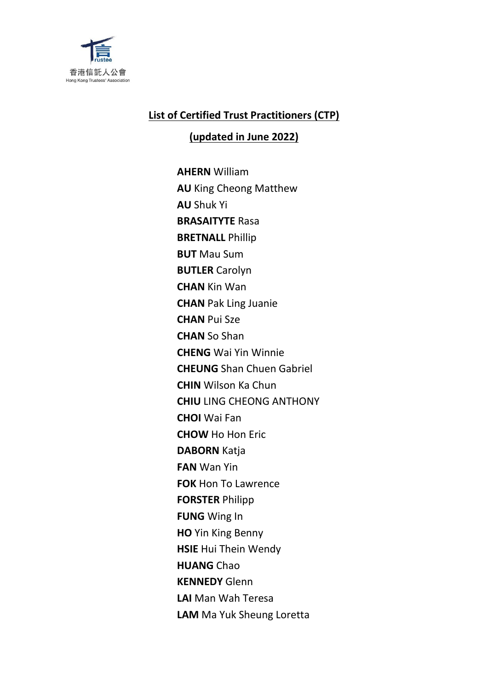

## **List of Certified Trust Practitioners (CTP)**

**(updated in June 2022)**

**AHERN** William **AU** King Cheong Matthew **AU** Shuk Yi **BRASAITYTE** Rasa **BRETNALL** Phillip **BUT** Mau Sum **BUTLER** Carolyn **CHAN** Kin Wan **CHAN** Pak Ling Juanie **CHAN** Pui Sze **CHAN** So Shan **CHENG** Wai Yin Winnie **CHEUNG** Shan Chuen Gabriel **CHIN** Wilson Ka Chun **CHIU** LING CHEONG ANTHONY **CHOI** Wai Fan **CHOW** Ho Hon Eric **DABORN** Katja **FAN** Wan Yin **FOK** Hon To Lawrence **FORSTER** Philipp **FUNG** Wing In **HO** Yin King Benny **HSIE** Hui Thein Wendy **HUANG** Chao **KENNEDY** Glenn **LAI** Man Wah Teresa **LAM** Ma Yuk Sheung Loretta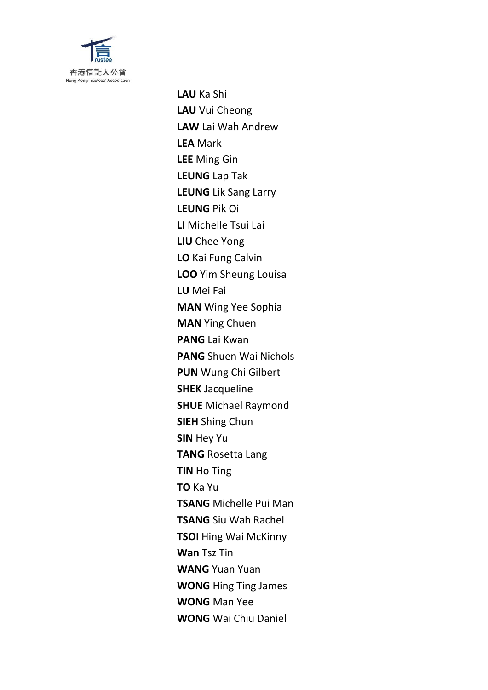

**LAU** Ka Shi **LAU** Vui Cheong **LAW** Lai Wah Andrew **LEA** Mark **LEE** Ming Gin **LEUNG** Lap Tak **LEUNG** Lik Sang Larry **LEUNG** Pik Oi **LI** Michelle Tsui Lai **LIU** Chee Yong **LO** Kai Fung Calvin **LOO** Yim Sheung Louisa **LU** Mei Fai **MAN** Wing Yee Sophia **MAN** Ying Chuen **PANG** Lai Kwan **PANG** Shuen Wai Nichols **PUN** Wung Chi Gilbert **SHEK** Jacqueline **SHUE** Michael Raymond **SIEH** Shing Chun **SIN** Hey Yu **TANG** Rosetta Lang **TIN** Ho Ting **TO** Ka Yu **TSANG** Michelle Pui Man **TSANG** Siu Wah Rachel **TSOI** Hing Wai McKinny **Wan** Tsz Tin **WANG** Yuan Yuan **WONG** Hing Ting James **WONG** Man Yee **WONG** Wai Chiu Daniel